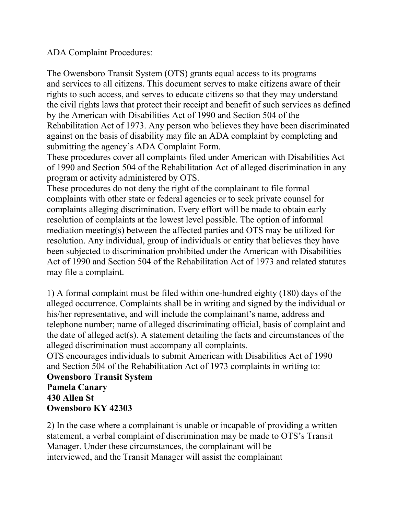ADA Complaint Procedures:

The Owensboro Transit System (OTS) grants equal access to its programs and services to all citizens. This document serves to make citizens aware of their rights to such access, and serves to educate citizens so that they may understand the civil rights laws that protect their receipt and benefit of such services as defined by the American with Disabilities Act of 1990 and Section 504 of the Rehabilitation Act of 1973. Any person who believes they have been discriminated against on the basis of disability may file an ADA complaint by completing and submitting the agency's ADA Complaint Form.

These procedures cover all complaints filed under American with Disabilities Act of 1990 and Section 504 of the Rehabilitation Act of alleged discrimination in any program or activity administered by OTS.

These procedures do not deny the right of the complainant to file formal complaints with other state or federal agencies or to seek private counsel for complaints alleging discrimination. Every effort will be made to obtain early resolution of complaints at the lowest level possible. The option of informal mediation meeting(s) between the affected parties and OTS may be utilized for resolution. Any individual, group of individuals or entity that believes they have been subjected to discrimination prohibited under the American with Disabilities Act of 1990 and Section 504 of the Rehabilitation Act of 1973 and related statutes may file a complaint.

1) A formal complaint must be filed within one-hundred eighty (180) days of the alleged occurrence. Complaints shall be in writing and signed by the individual or his/her representative, and will include the complainant's name, address and telephone number; name of alleged discriminating official, basis of complaint and the date of alleged act(s). A statement detailing the facts and circumstances of the alleged discrimination must accompany all complaints.

OTS encourages individuals to submit American with Disabilities Act of 1990 and Section 504 of the Rehabilitation Act of 1973 complaints in writing to:

## **Owensboro Transit System Pamela Canary 430 Allen St Owensboro KY 42303**

2) In the case where a complainant is unable or incapable of providing a written statement, a verbal complaint of discrimination may be made to OTS's Transit Manager. Under these circumstances, the complainant will be interviewed, and the Transit Manager will assist the complainant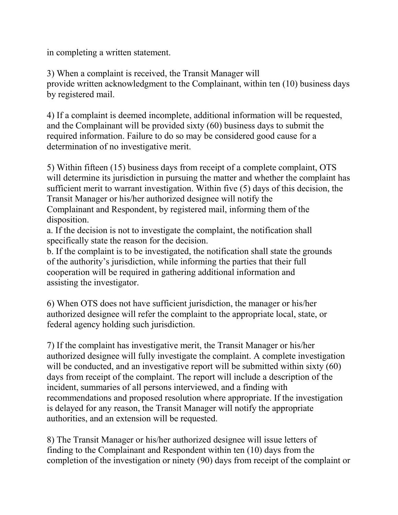in completing a written statement.

3) When a complaint is received, the Transit Manager will provide written acknowledgment to the Complainant, within ten (10) business days by registered mail.

4) If a complaint is deemed incomplete, additional information will be requested, and the Complainant will be provided sixty (60) business days to submit the required information. Failure to do so may be considered good cause for a determination of no investigative merit.

5) Within fifteen (15) business days from receipt of a complete complaint, OTS will determine its jurisdiction in pursuing the matter and whether the complaint has sufficient merit to warrant investigation. Within five (5) days of this decision, the Transit Manager or his/her authorized designee will notify the Complainant and Respondent, by registered mail, informing them of the disposition.

a. If the decision is not to investigate the complaint, the notification shall specifically state the reason for the decision.

b. If the complaint is to be investigated, the notification shall state the grounds of the authority's jurisdiction, while informing the parties that their full cooperation will be required in gathering additional information and assisting the investigator.

6) When OTS does not have sufficient jurisdiction, the manager or his/her authorized designee will refer the complaint to the appropriate local, state, or federal agency holding such jurisdiction.

7) If the complaint has investigative merit, the Transit Manager or his/her authorized designee will fully investigate the complaint. A complete investigation will be conducted, and an investigative report will be submitted within sixty (60) days from receipt of the complaint. The report will include a description of the incident, summaries of all persons interviewed, and a finding with recommendations and proposed resolution where appropriate. If the investigation is delayed for any reason, the Transit Manager will notify the appropriate authorities, and an extension will be requested.

8) The Transit Manager or his/her authorized designee will issue letters of finding to the Complainant and Respondent within ten (10) days from the completion of the investigation or ninety (90) days from receipt of the complaint or